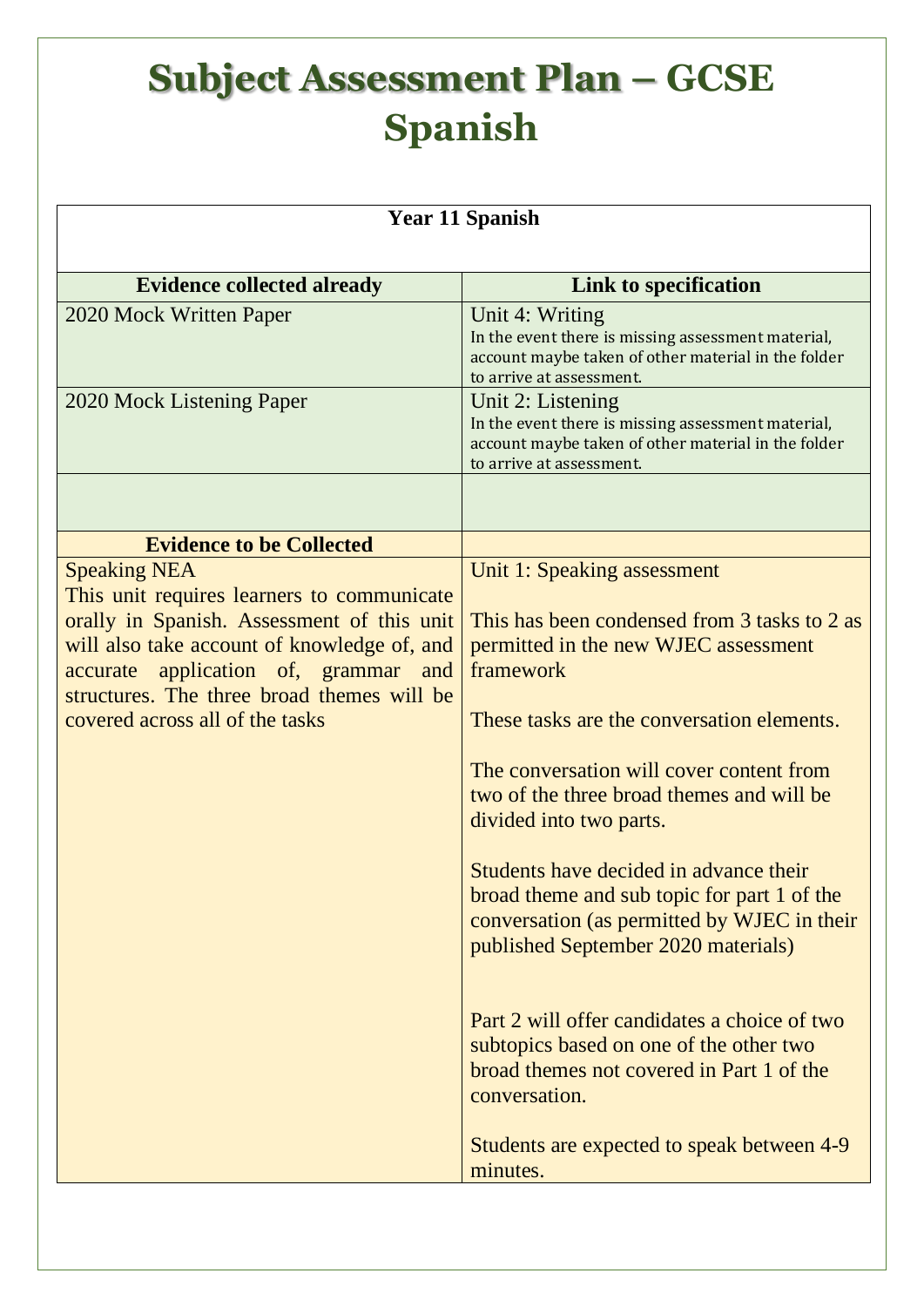| <b>Year 11 Spanish</b>                                                                                                                                                                                                                                                                     |                                                                                                                                                                                                                                                                                                                                                                                                                                                                                   |  |
|--------------------------------------------------------------------------------------------------------------------------------------------------------------------------------------------------------------------------------------------------------------------------------------------|-----------------------------------------------------------------------------------------------------------------------------------------------------------------------------------------------------------------------------------------------------------------------------------------------------------------------------------------------------------------------------------------------------------------------------------------------------------------------------------|--|
| <b>Evidence collected already</b>                                                                                                                                                                                                                                                          | Link to specification                                                                                                                                                                                                                                                                                                                                                                                                                                                             |  |
| 2020 Mock Written Paper                                                                                                                                                                                                                                                                    | Unit 4: Writing<br>In the event there is missing assessment material,<br>account maybe taken of other material in the folder<br>to arrive at assessment.                                                                                                                                                                                                                                                                                                                          |  |
| 2020 Mock Listening Paper                                                                                                                                                                                                                                                                  | Unit 2: Listening<br>In the event there is missing assessment material,<br>account maybe taken of other material in the folder<br>to arrive at assessment.                                                                                                                                                                                                                                                                                                                        |  |
|                                                                                                                                                                                                                                                                                            |                                                                                                                                                                                                                                                                                                                                                                                                                                                                                   |  |
| <b>Evidence to be Collected</b>                                                                                                                                                                                                                                                            |                                                                                                                                                                                                                                                                                                                                                                                                                                                                                   |  |
| <b>Speaking NEA</b><br>This unit requires learners to communicate<br>orally in Spanish. Assessment of this unit<br>will also take account of knowledge of, and<br>application of, grammar and<br>accurate<br>structures. The three broad themes will be<br>covered across all of the tasks | Unit 1: Speaking assessment<br>This has been condensed from 3 tasks to 2 as<br>permitted in the new WJEC assessment<br>framework<br>These tasks are the conversation elements.<br>The conversation will cover content from<br>two of the three broad themes and will be<br>divided into two parts.<br>Students have decided in advance their<br>broad theme and sub topic for part 1 of the<br>conversation (as permitted by WJEC in their<br>published September 2020 materials) |  |
|                                                                                                                                                                                                                                                                                            | Part 2 will offer candidates a choice of two<br>subtopics based on one of the other two<br>broad themes not covered in Part 1 of the<br>conversation.<br>Students are expected to speak between 4-9<br>minutes.                                                                                                                                                                                                                                                                   |  |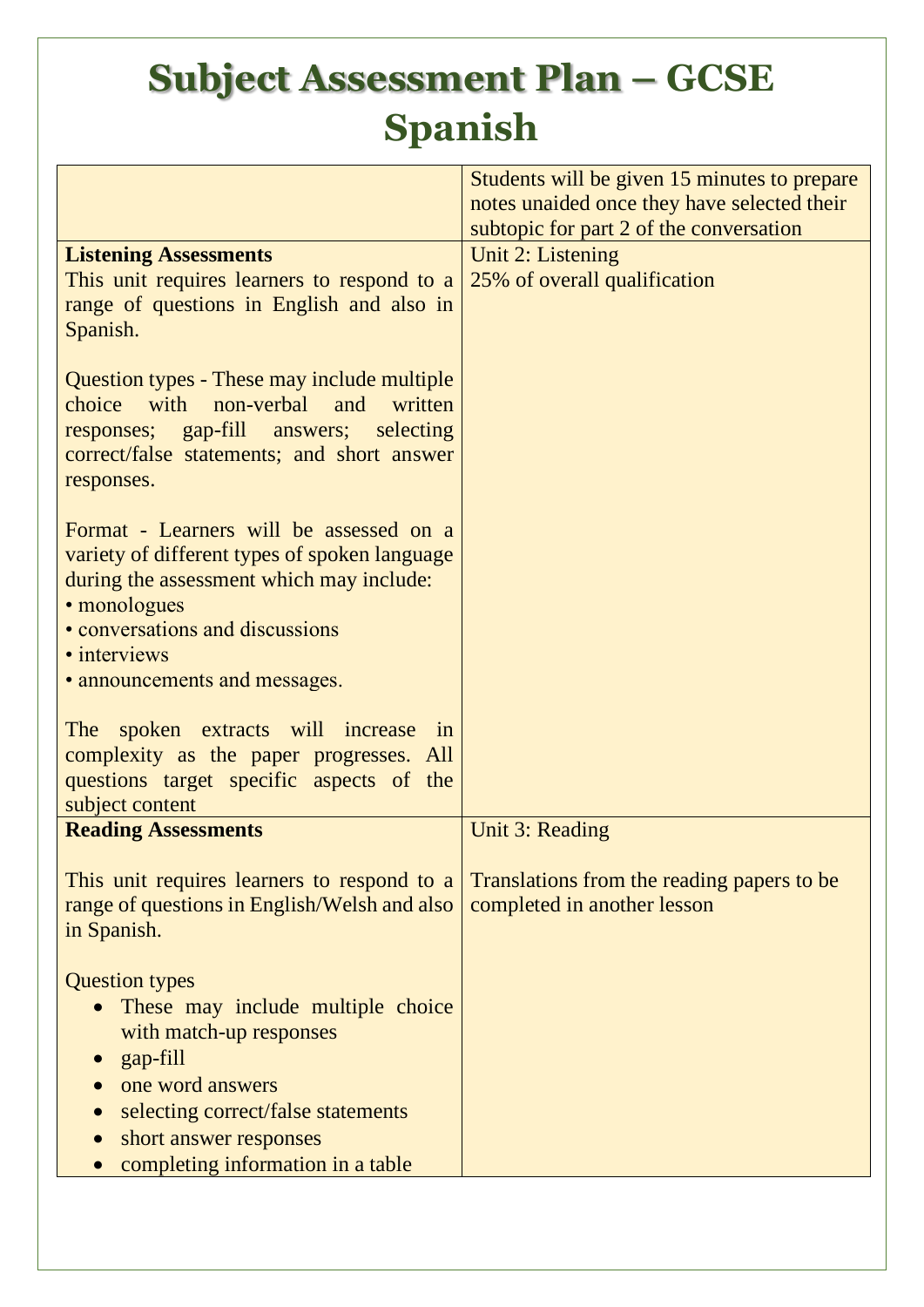|                                                          | Students will be given 15 minutes to prepare |
|----------------------------------------------------------|----------------------------------------------|
|                                                          | notes unaided once they have selected their  |
|                                                          |                                              |
|                                                          | subtopic for part 2 of the conversation      |
| <b>Listening Assessments</b>                             | Unit 2: Listening                            |
| This unit requires learners to respond to a              | 25% of overall qualification                 |
| range of questions in English and also in                |                                              |
| Spanish.                                                 |                                              |
|                                                          |                                              |
| Question types - These may include multiple              |                                              |
| with<br>non-verbal<br>choice<br>and<br>written           |                                              |
| responses; gap-fill answers;<br>selecting                |                                              |
| correct/false statements; and short answer               |                                              |
| responses.                                               |                                              |
|                                                          |                                              |
| Format - Learners will be assessed on a                  |                                              |
| variety of different types of spoken language            |                                              |
| during the assessment which may include:<br>• monologues |                                              |
| • conversations and discussions                          |                                              |
| • interviews                                             |                                              |
|                                                          |                                              |
| • announcements and messages.                            |                                              |
| The spoken extracts will increase<br>1n                  |                                              |
| complexity as the paper progresses. All                  |                                              |
| questions target specific aspects of the                 |                                              |
| subject content                                          |                                              |
| <b>Reading Assessments</b>                               | Unit 3: Reading                              |
|                                                          |                                              |
| This unit requires learners to respond to a              | Translations from the reading papers to be   |
| range of questions in English/Welsh and also             | completed in another lesson                  |
| in Spanish.                                              |                                              |
|                                                          |                                              |
| <b>Question types</b>                                    |                                              |
| These may include multiple choice                        |                                              |
| with match-up responses                                  |                                              |
| gap-fill                                                 |                                              |
| one word answers                                         |                                              |
| selecting correct/false statements                       |                                              |
| short answer responses                                   |                                              |
| completing information in a table                        |                                              |
|                                                          |                                              |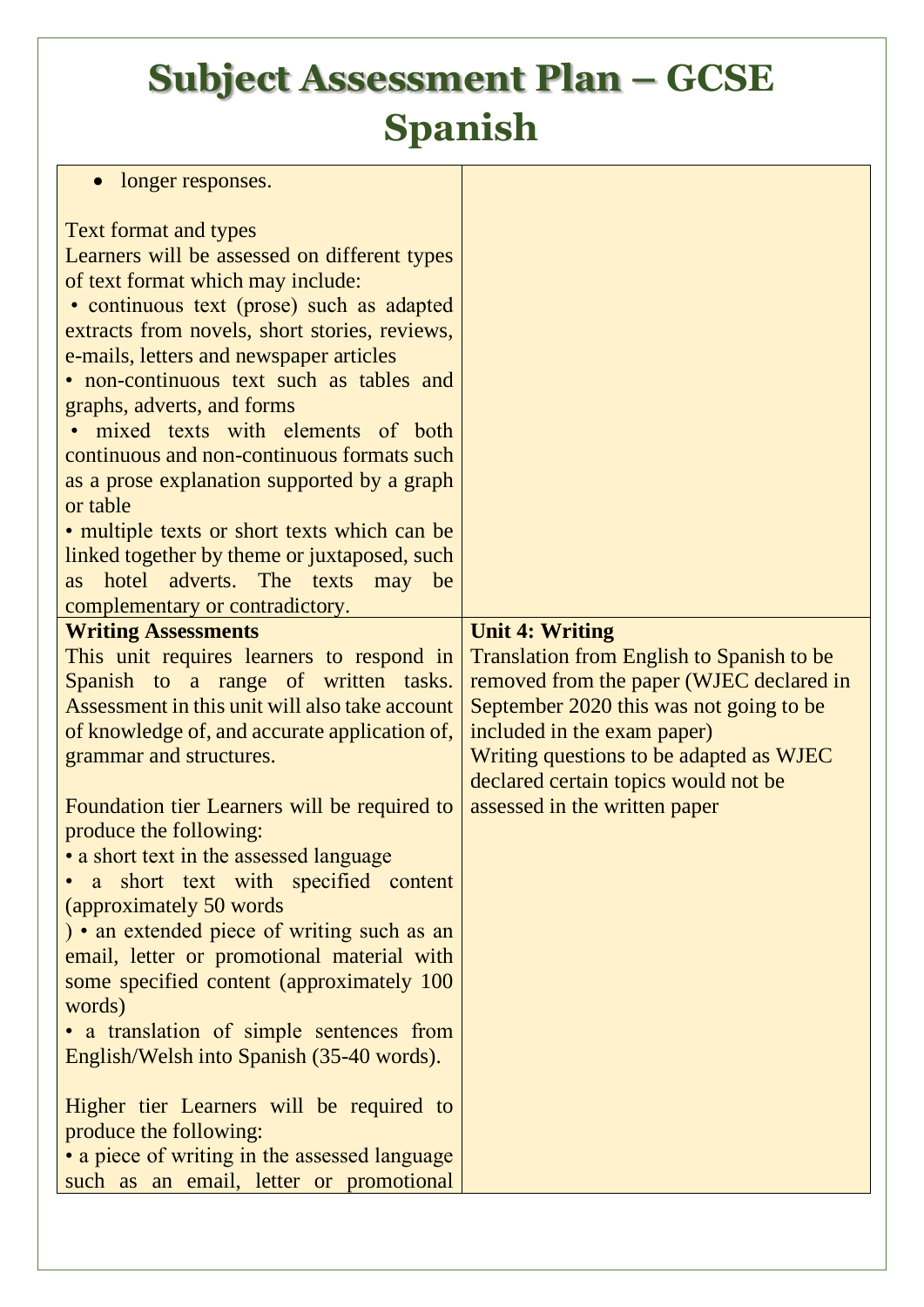| longer responses.                                                                                                                                                                                                                                                                                                                                                                                                                                                                                                                                                                                                                                                                                                                                                                                                                                                                                                                                                                                                                                                                                                                                                                                                                                                                                                                                                                                                                                                                                                                   |                                                                                                                                                                                                                                                                                                               |
|-------------------------------------------------------------------------------------------------------------------------------------------------------------------------------------------------------------------------------------------------------------------------------------------------------------------------------------------------------------------------------------------------------------------------------------------------------------------------------------------------------------------------------------------------------------------------------------------------------------------------------------------------------------------------------------------------------------------------------------------------------------------------------------------------------------------------------------------------------------------------------------------------------------------------------------------------------------------------------------------------------------------------------------------------------------------------------------------------------------------------------------------------------------------------------------------------------------------------------------------------------------------------------------------------------------------------------------------------------------------------------------------------------------------------------------------------------------------------------------------------------------------------------------|---------------------------------------------------------------------------------------------------------------------------------------------------------------------------------------------------------------------------------------------------------------------------------------------------------------|
| <b>Text format and types</b><br>Learners will be assessed on different types<br>of text format which may include:<br>• continuous text (prose) such as adapted<br>extracts from novels, short stories, reviews,<br>e-mails, letters and newspaper articles<br>• non-continuous text such as tables and<br>graphs, adverts, and forms<br>· mixed texts with elements of both<br>continuous and non-continuous formats such<br>as a prose explanation supported by a graph<br>or table<br>• multiple texts or short texts which can be<br>linked together by theme or juxtaposed, such<br>as hotel adverts. The texts may be<br>complementary or contradictory.<br><b>Writing Assessments</b><br>This unit requires learners to respond in<br>Spanish to a range of written tasks.<br>Assessment in this unit will also take account<br>of knowledge of, and accurate application of,<br>grammar and structures.<br>Foundation tier Learners will be required to<br>produce the following:<br>• a short text in the assessed language<br>short text with specified content<br>$\bullet$ a<br>(approximately 50 words)<br>) • an extended piece of writing such as an<br>email, letter or promotional material with<br>some specified content (approximately 100)<br>words)<br>• a translation of simple sentences from<br>English/Welsh into Spanish (35-40 words).<br>Higher tier Learners will be required to<br>produce the following:<br>• a piece of writing in the assessed language<br>such as an email, letter or promotional | <b>Unit 4: Writing</b><br>Translation from English to Spanish to be<br>removed from the paper (WJEC declared in<br>September 2020 this was not going to be<br>included in the exam paper)<br>Writing questions to be adapted as WJEC<br>declared certain topics would not be<br>assessed in the written paper |